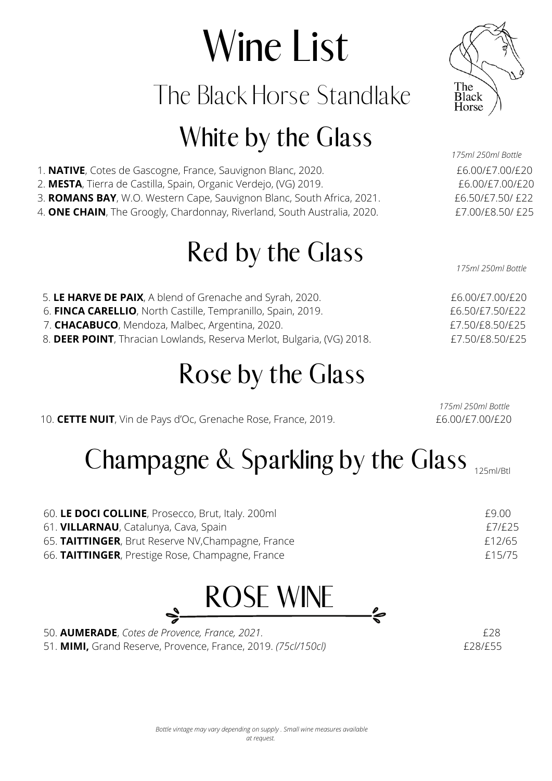# Wine List

The Black Horse Standlake

#### White by the Glass

Red by the Glass



1. **NATIVE**, Cotes de Gascogne, France, Sauvignon Blanc, 2020. **EG. EXACTIVE**, COO/£7.00/£20 2. **MESTA**, Tierra de Castilla, Spain, Organic Verdejo, (VG) 2019. £6.00/£7.00/£20 3. **ROMANS BAY**, W.O. Western Cape, Sauvignon Blanc, South Africa, 2021. £6.50/£7.50/ £22 4. **ONE CHAIN**, The Groogly, Chardonnay, Riverland, South Australia, 2020. **EXALL EXALGATER** 100/£8.50/ £25 *175ml 250ml Bottle*

*175ml 250ml Bottle*

| 5. LE HARVE DE PAIX, A blend of Grenache and Syrah, 2020.              | £6.00/£7.00/£20 |
|------------------------------------------------------------------------|-----------------|
| 6. FINCA CARELLIO, North Castille, Tempranillo, Spain, 2019.           | £6.50/£7.50/£22 |
| 7. CHACABUCO, Mendoza, Malbec, Argentina, 2020.                        | £7.50/£8.50/£25 |
| 8. DEER POINT, Thracian Lowlands, Reserva Merlot, Bulgaria, (VG) 2018. | £7.50/£8.50/£25 |
|                                                                        |                 |

#### Rose by the Glass

10. **CETTE NUIT**, Vin de Pays d'Oc, Grenache Rose, France, 2019. £6.00/£7.00/£20

*175ml 250ml Bottle*

### Champagne & Sparkling by the Glass 125ml/Btl

| 60. LE DOCI COLLINE, Prosecco, Brut, Italy. 200ml  | F9 NO  |
|----------------------------------------------------|--------|
| 61. VILLARNAU, Catalunya, Cava, Spain              | £7/£25 |
| 65. TAITTINGER, Brut Reserve NV, Champagne, France | £12/65 |
| 66. TAITTINGER, Prestige Rose, Champagne, France   | £15/75 |



50. **AUMERADE**, *Cotes de Provence, France, 2021.* £28

51. **MIMI,** Grand Reserve, Provence, France, 2019. *(75cl/150cl)* £28/£55